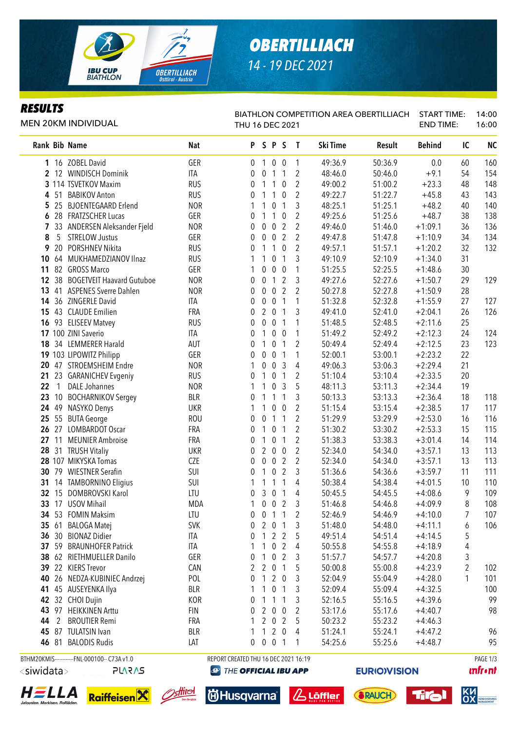

# *OBERTILLIACH 14 - 19 DEC 2021*

### *RESULTS*

MEN 20KM INDIVIDUAL

#### BIATHLON COMPETITION AREA OBERTILLIACH START TIME: THU 16 DEC 2021 END TIME: 14:00 16:00

| Rank Bib Name         |                                              | Nat        | P                                         |                  | SPS              |                  | $\mathbf{I}$   | Ski Time | Result              | <b>Behind</b> | IC | <b>NC</b>       |
|-----------------------|----------------------------------------------|------------|-------------------------------------------|------------------|------------------|------------------|----------------|----------|---------------------|---------------|----|-----------------|
|                       | 1 16 ZOBEL David                             | GER        | $\mathbf 0$                               | $\overline{1}$   |                  | $0\quad 0$       | 1              | 49:36.9  | 50:36.9             | 0.0           | 60 | 160             |
|                       | 2 12 WINDISCH Dominik                        | ITA        | 0                                         | 0                | 1                | $\mathbf{1}$     | 2              | 48:46.0  | 50:46.0             | $+9.1$        | 54 | 154             |
|                       | 3 114 TSVETKOV Maxim                         | <b>RUS</b> | 0                                         | 1                | 1                | 0                | $\overline{2}$ | 49:00.2  | 51:00.2             | $+23.3$       | 48 | 148             |
| 4 51                  | <b>BABIKOV Anton</b>                         | <b>RUS</b> | 0                                         | 1                | 1                | $\boldsymbol{0}$ | 2              | 49:22.7  | 51:22.7             | $+45.8$       | 43 | 143             |
| 5 25                  | <b>BJOENTEGAARD Erlend</b>                   | <b>NOR</b> | 1                                         | 1                | 0                | $\mathbf{1}$     | 3              | 48:25.1  | 51:25.1             | $+48.2$       | 40 | 140             |
| 628                   | <b>FRATZSCHER Lucas</b>                      | GER        | 0                                         | 1                | 1                | $\bf{0}$         | 2              | 49:25.6  | 51:25.6             | $+48.7$       | 38 | 138             |
| $\overline{7}$        | 33 ANDERSEN Aleksander Fjeld                 | <b>NOR</b> | 0                                         | 0                | $\boldsymbol{0}$ | $\overline{2}$   | $\overline{2}$ | 49:46.0  | 51:46.0             | $+1:09.1$     | 36 | 136             |
| 8<br>5                | <b>STRELOW Justus</b>                        | GER        | 0                                         | 0                | $\mathbf 0$      | $\overline{2}$   | $\overline{2}$ | 49:47.8  | 51:47.8             | $+1:10.9$     | 34 | 134             |
| 20<br>9               | PORSHNEV Nikita                              | <b>RUS</b> | 0                                         | 1                | 1                | $\mathbf 0$      | $\overline{2}$ | 49:57.1  | 51:57.1             | $+1:20.2$     | 32 | 132             |
|                       | 10 64 MUKHAMEDZIANOV Ilnaz                   | <b>RUS</b> |                                           | 1                | $\boldsymbol{0}$ | $\mathbf{1}$     | 3              | 49:10.9  | 52:10.9             | $+1:34.0$     | 31 |                 |
| 11                    | 82 GROSS Marco                               | GER        |                                           | 0                | $\boldsymbol{0}$ | $\bf{0}$         | 1              | 51:25.5  | 52:25.5             | $+1:48.6$     | 30 |                 |
| 12 38                 | <b>BOGETVEIT Haavard Gutuboe</b>             | <b>NOR</b> | 0                                         | 0                | 1                | 2                | 3              | 49:27.6  | 52:27.6             | $+1:50.7$     | 29 | 129             |
|                       | 13 41 ASPENES Sverre Dahlen                  | <b>NOR</b> | 0                                         | 0                | $\overline{0}$   | $\overline{2}$   | 2              | 50:27.8  | 52:27.8             | $+1:50.9$     | 28 |                 |
|                       | 14 36 ZINGERLE David                         | ITA        | 0                                         | $\boldsymbol{0}$ | $\pmb{0}$        | $\mathbf{1}$     | 1              | 51:32.8  | 52:32.8             | $+1:55.9$     | 27 | 127             |
|                       | 15 43 CLAUDE Emilien                         | FRA        | 0                                         | $\overline{2}$   | $\mathbf 0$      | $\mathbf 1$      | 3              | 49:41.0  | 52:41.0             | $+2:04.1$     | 26 | 126             |
|                       | 16 93 ELISEEV Matvey                         | <b>RUS</b> | 0                                         | 0                | 0                | $\mathbf 1$      | 1              | 51:48.5  | 52:48.5             | $+2:11.6$     | 25 |                 |
|                       | 17 100 ZINI Saverio                          | ITA        | 0                                         | 1                | 0                | 0                | 1              | 51:49.2  | 52:49.2             | $+2:12.3$     | 24 | 124             |
|                       | 18 34 LEMMERER Harald                        | AUT        | 0                                         | 1                | 0                | $\mathbf 1$      | 2              | 50:49.4  | 52:49.4             | $+2:12.5$     | 23 | 123             |
|                       | 19 103 LIPOWITZ Philipp                      | GER        | 0                                         | 0                | $\pmb{0}$        | $\mathbf{1}$     | 1              | 52:00.1  | 53:00.1             | $+2:23.2$     | 22 |                 |
|                       | 20 47 STROEMSHEIM Endre                      | <b>NOR</b> |                                           | 0                | $\pmb{0}$        | 3                | 4              | 49:06.3  | 53:06.3             | $+2:29.4$     | 21 |                 |
|                       | 21 23 GARANICHEV Evgeniy                     | <b>RUS</b> | 0                                         | 1                | 0                | $\mathbf{1}$     | 2              | 51:10.4  | 53:10.4             | $+2:33.5$     | 20 |                 |
| 22<br>$\overline{1}$  | <b>DALE Johannes</b>                         | <b>NOR</b> |                                           | 1                | 0                | 3                | 5              | 48:11.3  | 53:11.3             | $+2:34.4$     | 19 |                 |
| 23                    | 10 BOCHARNIKOV Sergey                        | <b>BLR</b> | 0                                         | 1                | 1                | $\mathbf{1}$     | 3              | 50:13.3  | 53:13.3             | $+2:36.4$     | 18 | 118             |
|                       | 24 49 NASYKO Denys                           | <b>UKR</b> | 1                                         | 1                | $\boldsymbol{0}$ | $\pmb{0}$        | 2              | 51:15.4  | 53:15.4             | $+2:38.5$     | 17 | 117             |
|                       | 25 55 BUTA George                            | <b>ROU</b> | 0                                         | 0                | 1                | $\mathbf{1}$     | 2              | 51:29.9  | 53:29.9             | $+2:53.0$     | 16 | 116             |
| 26 27                 | <b>LOMBARDOT Oscar</b>                       | FRA        | 0                                         | 1                | $\boldsymbol{0}$ | $\mathbf 1$      | 2              | 51:30.2  | 53:30.2             | $+2:53.3$     | 15 | 115             |
| 27 11                 | <b>MEUNIER Ambroise</b>                      | FRA        | 0                                         | 1                | 0                | 1                | 2              | 51:38.3  | 53:38.3             | $+3:01.4$     | 14 | 114             |
|                       | 28 31 TRUSH Vitaliy                          | <b>UKR</b> | 0                                         | $\overline{2}$   | $\pmb{0}$        | $\boldsymbol{0}$ | $\overline{2}$ | 52:34.0  | 54:34.0             | $+3:57.1$     | 13 | 113             |
|                       | 28 107 MIKYSKA Tomas                         | <b>CZE</b> | 0                                         | 0                | $\overline{0}$   | $\overline{2}$   | $\overline{2}$ | 52:34.0  | 54:34.0             | $+3:57.1$     | 13 | 113             |
| 30 79                 | <b>WIESTNER Serafin</b>                      | SUI        |                                           | $\mathbf{1}$     | $\boldsymbol{0}$ | $\overline{2}$   | 3              | 51:36.6  | 54:36.6             | $+3:59.7$     | 11 | 111             |
|                       | 14 TAMBORNINO Eligius                        | SUI        | 0<br>1                                    | 1                | 1                | $\mathbf{1}$     | 4              | 50:38.4  | 54:38.4             | $+4:01.5$     | 10 | 110             |
| 31                    | 32 15 DOMBROVSKI Karol                       | LTU        |                                           | 3                | $\pmb{0}$        | $\mathbf{1}$     |                |          | 54:45.5             | $+4:08.6$     | 9  | 109             |
|                       | <b>USOV Mihail</b>                           |            | 0                                         |                  |                  |                  | 4              | 50:45.5  |                     |               |    |                 |
| 33<br>17              |                                              | <b>MDA</b> | 1                                         | 0                | $\pmb{0}$        | $\overline{2}$   | 3              | 51:46.8  | 54:46.8             | $+4:09.9$     | 8  | 108             |
| 34<br>53              | <b>FOMIN Maksim</b>                          | LTU        | 0                                         | 0                | 1                | 1                | $\overline{2}$ | 52:46.9  | 54:46.9             | $+4:10.0$     | 7  | 107             |
| 35 61                 | <b>BALOGA Matej</b>                          | <b>SVK</b> | 0                                         | $\overline{2}$   | $\overline{0}$   | $\mathbf 1$      | 3              | 51:48.0  | 54:48.0             | $+4:11.1$     | 6  | 106             |
|                       | 36 30 BIONAZ Didier                          | ITA        | 0                                         | $\mathbf{1}$     | $\mathbf{2}$     | 2                | 5              | 49:51.4  | 54:51.4             | $+4:14.5$     | 5  |                 |
| 37 59                 | <b>BRAUNHOFER Patrick</b>                    | ITA        |                                           |                  | $\mathbf{0}$     | 2                | 4              | 50:55.8  | 54:55.8             | $+4:18.9$     | 4  |                 |
|                       | 38 62 RIETHMUELLER Danilo                    | GER        |                                           | 1                | $\mathbf 0$      | 2                | 3              | 51:57.7  | 54:57.7             | $+4:20.8$     | 3  |                 |
|                       | 39 22 KIERS Trevor                           | CAN        |                                           | 2                | 0                | 1                | 5              | 50:00.8  | 55:00.8             | $+4:23.9$     | 2  | 102             |
| 40                    | 26 NEDZA-KUBINIEC Andrzej                    | POL        |                                           | $\mathbf{1}$     | 2                | $\overline{0}$   | 3              | 52:04.9  | 55:04.9             | $+4:28.0$     | 1  | 101             |
| 41                    | 45 AUSEYENKA Ilya                            | <b>BLR</b> |                                           | 1                | $\mathbf 0$      | 1                | 3              | 52:09.4  | 55:09.4             | $+4:32.5$     |    | 100             |
|                       | 42 32 CHOI Dujin                             | KOR        |                                           | 1                | $\overline{1}$   | 1                | 3              | 52:16.5  | 55:16.5             | $+4:39.6$     |    | 99              |
|                       | 43 97 HEIKKINEN Arttu                        | <b>FIN</b> | 0                                         | 2                | $\boldsymbol{0}$ | $\mathbf 0$      | 2              | 53:17.6  | 55:17.6             | $+4:40.7$     |    | 98              |
| 2<br>44               | <b>BROUTIER Remi</b>                         | FRA        |                                           |                  | $2 \t0 \t2$      |                  | 5              | 50:23.2  | 55:23.2             | $+4:46.3$     |    |                 |
|                       | 45 87 TULATSIN Ivan                          | <b>BLR</b> |                                           |                  | 120              |                  | 4              | 51:24.1  | 55:24.1             | $+4:47.2$     |    | 96              |
|                       | 46 81 BALODIS Rudis                          | LAT        | 0                                         |                  | $0 \t0 \t1$      |                  | 1              | 54:25.6  | 55:25.6             | $+4:48.7$     |    | 95              |
|                       | BTHM20KMIS------------FNL-000100-- C73A v1.0 |            | REPORT CREATED THU 16 DEC 2021 16:19      |                  |                  |                  |                |          |                     |               |    | PAGE 1/3        |
| <siwidata></siwidata> | <b>SVSVJS</b>                                |            | <b><sup>49</sup> THE OFFICIAL IBU APP</b> |                  |                  |                  |                |          | <b>EURIO)VISION</b> |               |    | <b>unfr</b> •nt |













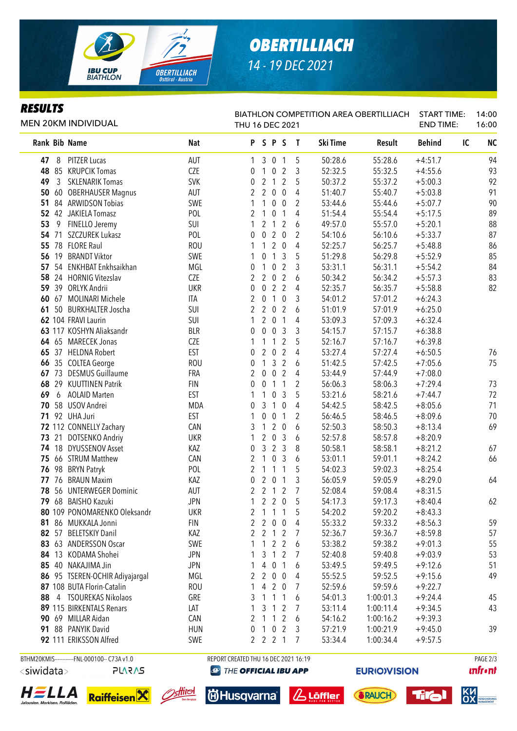

## *OBERTILLIACH 14 - 19 DEC 2021*

### *RESULTS*

Rank Bib Name **Nat P S P S T Ski Time Result Behind** IC NC 8 PITZER Lucas AUT 1 3 0 1 5 50:28.6 55:28.6 +4:51.7 94 85 KRUPCIK Tomas CZE 0 1 0 2 3 52:32.5 55:32.5 +4:55.6 93 3 SKLENARIK Tomas SVK 0 2 1 2 5 50:37.2 55:37.2 +5:00.3 92 60 OBERHAUSER Magnus AUT 2 2 0 0 4 51:40.7 55:40.7 +5:03.8 91 84 ARWIDSON Tobias SWE 1 1 0 0 2 53:44.6 55:44.6 +5:07.7 90 42 JAKIELA Tomasz POL 2 1 0 1 4 51:54.4 55:54.4 +5:17.5 89 9 FINELLO Jeremy SUI 1 2 1 2 6 49:57.0 55:57.0 +5:20.1 88 71 SZCZUREK Lukasz POL 0 0 2 0 2 54:10.6 56:10.6 +5:33.7 87 78 FLORE Raul ROU 1 1 2 0 4 52:25.7 56:25.7 +5:48.8 86 19 BRANDT Viktor SWE 1 0 1 3 5 51:29.8 56:29.8 +5:52.9 85 54 ENKHBAT Enkhsaikhan MGL 0 1 0 2 3 53:31.1 56:31.1 +5:54.2 84 24 HORNIG Vitezslav CZE 2 2 0 2 6 50:34.2 56:34.2 +5:57.3 83 39 ORLYK Andrii UKR 0 0 2 2 4 52:35.7 56:35.7 +5:58.8 82 67 MOLINARI Michele ITA 2 0 1 0 3 54:01.2 57:01.2 +6:24.3 50 BURKHALTER Joscha SUI 2 2 0 2 6 51:01.9 57:01.9 +6:25.0 104 FRAVI Laurin SUI 1 2 0 1 4 53:09.3 57:09.3 +6:32.4 117 KOSHYN Aliaksandr BLR 0 0 0 3 3 54:15.7 57:15.7 +6:38.8 65 MARECEK Jonas CZE 1 1 1 2 5 52:16.7 57:16.7 +6:39.8 37 HELDNA Robert EST 0 2 0 2 4 53:27.4 57:27.4 +6:50.5 76 35 COLTEA George ROU 0 1 3 2 6 51:42.5 57:42.5 +7:05.6 75 73 DESMUS Guillaume FRA 2 0 0 2 4 53:44.9 57:44.9 +7:08.0 29 KUUTTINEN Patrik FIN 0 0 1 1 2 56:06.3 58:06.3 +7:29.4 73 6 AOLAID Marten EST 1 1 0 3 5 53:21.6 58:21.6 +7:44.7 72 58 USOV Andrei MDA 0 3 1 0 4 54:42.5 58:42.5 +8:05.6 71 92 UHA Juri EST 1 0 0 1 2 56:46.5 58:46.5 +8:09.6 70 112 CONNELLY Zachary CAN 3 1 2 0 6 52:50.3 58:50.3 +8:13.4 69 21 DOTSENKO Andriy UKR 1 2 0 3 6 52:57.8 58:57.8 +8:20.9 18 DYUSSENOV Asset KAZ 0 3 2 3 8 50:58.1 58:58.1 +8:21.2 67 66 STRUM Matthew CAN 2 1 0 3 6 53:01.1 59:01.1 +8:24.2 66 98 BRYN Patryk POL 2 1 1 1 5 54:02.3 59:02.3 +8:25.4 76 BRAUN Maxim KAZ 0 2 0 1 3 56:05.9 59:05.9 +8:29.0 64 56 UNTERWEGER Dominic AUT 2 2 1 2 7 52:08.4 59:08.4 +8:31.5 68 BAISHO Kazuki JPN 1 2 2 0 5 54:17.3 59:17.3 +8:40.4 62 109 PONOMARENKO Oleksandr UKR 2 1 1 1 5 54:20.2 59:20.2 +8:43.3 86 MUKKALA Jonni FIN 2 2 0 0 4 55:33.2 59:33.2 +8:56.3 59 82 57 BELETSKIY Danil 8 = 2 2 1 2 7 52:36.7 59:36.7 +8:59.8 57 63 ANDERSSON Oscar SWE 1 1 2 2 6 53:38.2 59:38.2 +9:01.3 55 13 KODAMA Shohei JPN 1 3 1 2 7 52:40.8 59:40.8 +9:03.9 53 85 40 NAKAJIMA Jin 30 30 30 30 30 30 30 30 30 30 30 30 40 53:49.5 59:49.5 59:49.5 59:49.5 51 95 TSEREN-OCHIR Adiyajargal MGL 2 2 0 0 4 55:52.5 59:52.5 +9:15.6 49 87 108 BUTA Florin-Catalin 2.1 ROU 1 4 2 0 7 52:59.6 59:59.6 +9:22.7 4 TSOUREKAS Nikolaos GRE 3 1 1 1 6 54:01.3 1:00:01.3 +9:24.4 45 89 115 BIRKENTALS Renars (AT ART ART 2 2 1 3 1 2 7 53:11.4 1:00:11.4 + 9:34.5 43 69 MILLAR Aidan CAN 2 1 1 2 6 54:16.2 1:00:16.2 +9:39.3 88 PANYIK David HUN 0 1 0 2 3 57:21.9 1:00:21.9 +9:45.0 39 111 ERIKSSON Alfred SWE 2 2 2 1 7 53:34.4 1:00:34.4 +9:57.5 MEN 20KM INDIVIDUAL BIATHLON COMPETITION AREA OBERTILLIACH THU 16 DEC 2021 START TIME: END TIME: 14:00 16:00

BTHM20KMIS-----------FNL-000100-- C73A v1.0 REPORT CREATED THU 16 DEC 2021 16:19 PAGE 203





<siwidata>





**@ THE OFFICIAL IBU APP** 







**EURIOVISION**